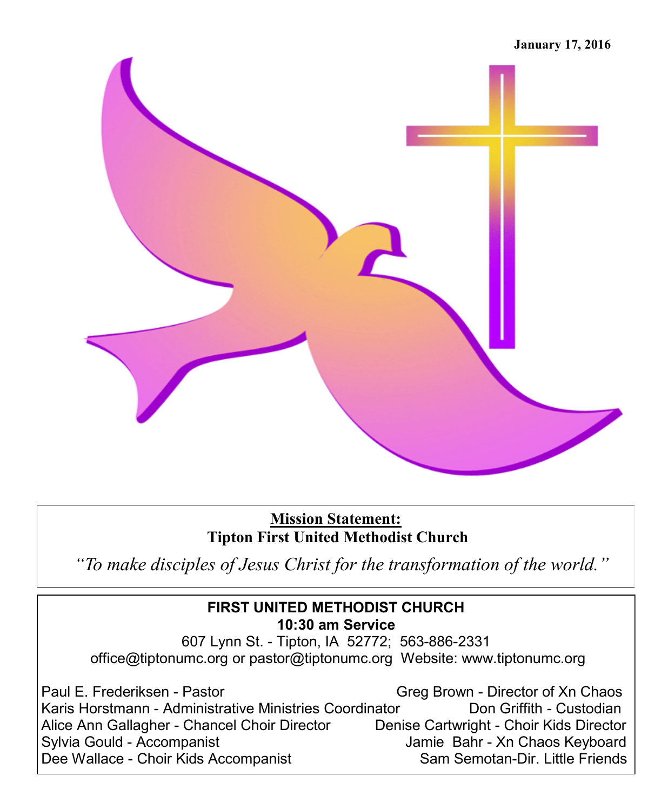

**Mission Statement: Tipton First United Methodist Church** 

*"To make disciples of Jesus Christ for the transformation of the world."*

### **FIRST UNITED METHODIST CHURCH 10:30 am Service**

607 Lynn St. - Tipton, IA 52772; 563-886-2331 office@tiptonumc.org or pastor@tiptonumc.org Website: www.tiptonumc.org

Paul E. Frederiksen - Pastor Greg Brown - Director of Xn Chaos Karis Horstmann - Administrative Ministries Coordinator **Don Griffith - Custodian** Alice Ann Gallagher - Chancel Choir Director Denise Cartwright - Choir Kids Director Sylvia Gould - Accompanist **Jamie Bahr - Xn Chaos Keyboard** Dee Wallace - Choir Kids Accompanist Sam Semotan-Dir. Little Friends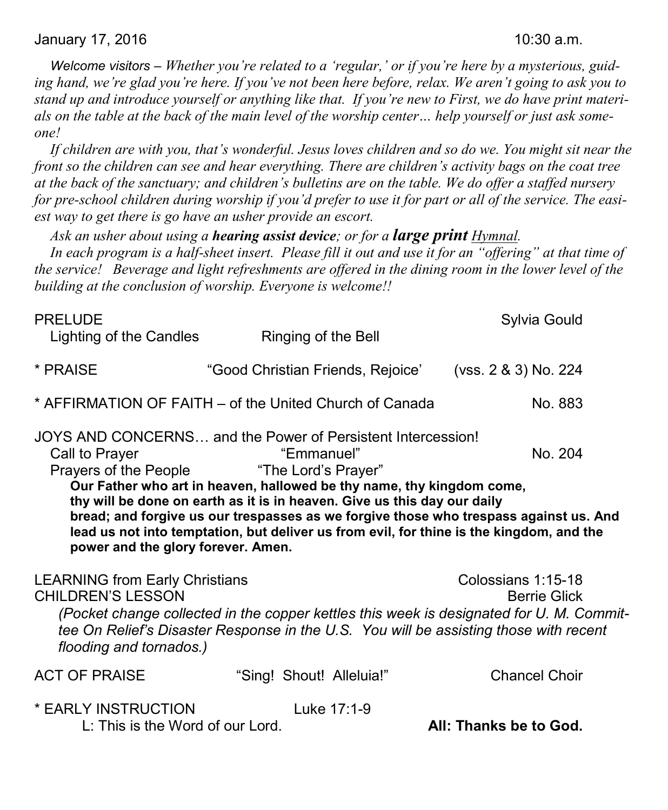*Welcome visitors – Whether you're related to a 'regular,' or if you're here by a mysterious, guiding hand, we're glad you're here. If you've not been here before, relax. We aren't going to ask you to stand up and introduce yourself or anything like that. If you're new to First, we do have print materials on the table at the back of the main level of the worship center… help yourself or just ask someone!*

*If children are with you, that's wonderful. Jesus loves children and so do we. You might sit near the front so the children can see and hear everything. There are children's activity bags on the coat tree at the back of the sanctuary; and children's bulletins are on the table. We do offer a staffed nursery for pre-school children during worship if you'd prefer to use it for part or all of the service. The easiest way to get there is go have an usher provide an escort.* 

*Ask an usher about using a hearing assist device; or for a large print Hymnal.* 

*In each program is a half-sheet insert. Please fill it out and use it for an "offering" at that time of the service! Beverage and light refreshments are offered in the dining room in the lower level of the building at the conclusion of worship. Everyone is welcome!!*

| <b>PRELUDE</b><br>Lighting of the Candles                                                    | Ringing of the Bell                                                                                                                                                                                                                                                                                                                                                                                                                        | Sylvia Gould                              |
|----------------------------------------------------------------------------------------------|--------------------------------------------------------------------------------------------------------------------------------------------------------------------------------------------------------------------------------------------------------------------------------------------------------------------------------------------------------------------------------------------------------------------------------------------|-------------------------------------------|
| * PRAISE                                                                                     | "Good Christian Friends, Rejoice'                                                                                                                                                                                                                                                                                                                                                                                                          | (vss. 2 & 3) No. 224                      |
|                                                                                              | * AFFIRMATION OF FAITH – of the United Church of Canada                                                                                                                                                                                                                                                                                                                                                                                    | No. 883                                   |
| Call to Prayer<br>Prayers of the People<br>power and the glory forever. Amen.                | JOYS AND CONCERNS and the Power of Persistent Intercession!<br>"Emmanuel"<br>"The Lord's Prayer"<br>Our Father who art in heaven, hallowed be thy name, thy kingdom come,<br>thy will be done on earth as it is in heaven. Give us this day our daily<br>bread; and forgive us our trespasses as we forgive those who trespass against us. And<br>lead us not into temptation, but deliver us from evil, for thine is the kingdom, and the | No. 204                                   |
| <b>LEARNING from Early Christians</b><br><b>CHILDREN'S LESSON</b><br>flooding and tornados.) | (Pocket change collected in the copper kettles this week is designated for U. M. Commit-<br>tee On Relief's Disaster Response in the U.S. You will be assisting those with recent                                                                                                                                                                                                                                                          | Colossians 1:15-18<br><b>Berrie Glick</b> |
| <b>ACT OF PRAISE</b>                                                                         | "Sing! Shout! Alleluia!"                                                                                                                                                                                                                                                                                                                                                                                                                   | <b>Chancel Choir</b>                      |
| * EARLY INSTRUCTION<br>L: This is the Word of our Lord.                                      | Luke 17:1-9                                                                                                                                                                                                                                                                                                                                                                                                                                | All: Thanks be to God.                    |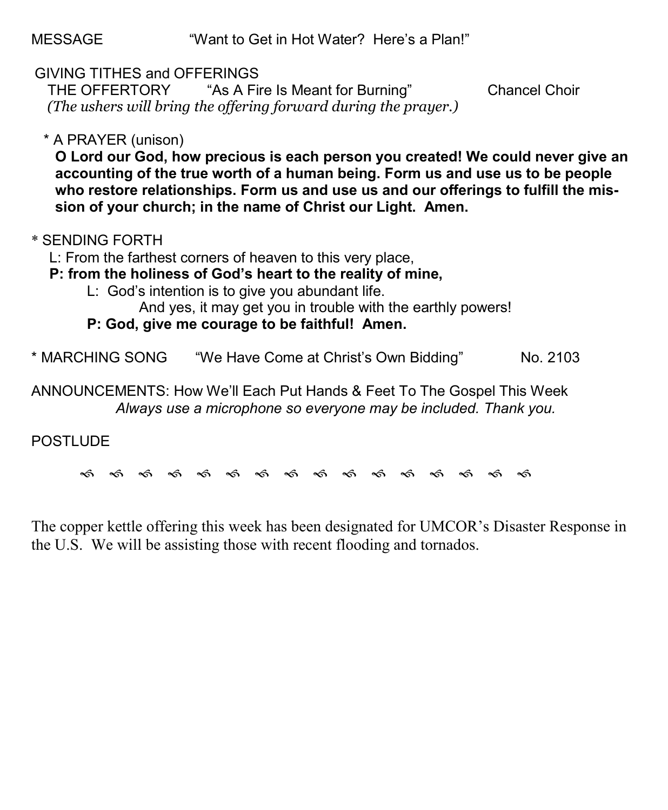MESSAGE "Want to Get in Hot Water? Here's a Plan!"

## GIVING TITHES and OFFERINGS

 THE OFFERTORY "As A Fire Is Meant for Burning" Chancel Choir *(The ushers will bring the offering forward during the prayer.)*

## \* A PRAYER (unison)

**O Lord our God, how precious is each person you created! We could never give an accounting of the true worth of a human being. Form us and use us to be people who restore relationships. Form us and use us and our offerings to fulfill the mission of your church; in the name of Christ our Light. Amen.**

## \* SENDING FORTH

L: From the farthest corners of heaven to this very place,

**P: from the holiness of God's heart to the reality of mine,**

L: God's intention is to give you abundant life.

And yes, it may get you in trouble with the earthly powers!

**P: God, give me courage to be faithful! Amen.**

\* MARCHING SONG "We Have Come at Christ's Own Bidding" No. 2103

ANNOUNCEMENTS: How We'll Each Put Hands & Feet To The Gospel This Week *Always use a microphone so everyone may be included. Thank you.*

## POSTLUDE

କ କ କ କ କ କ କ କ କ କ କ କ କ କ କ କ

The copper kettle offering this week has been designated for UMCOR's Disaster Response in the U.S. We will be assisting those with recent flooding and tornados.